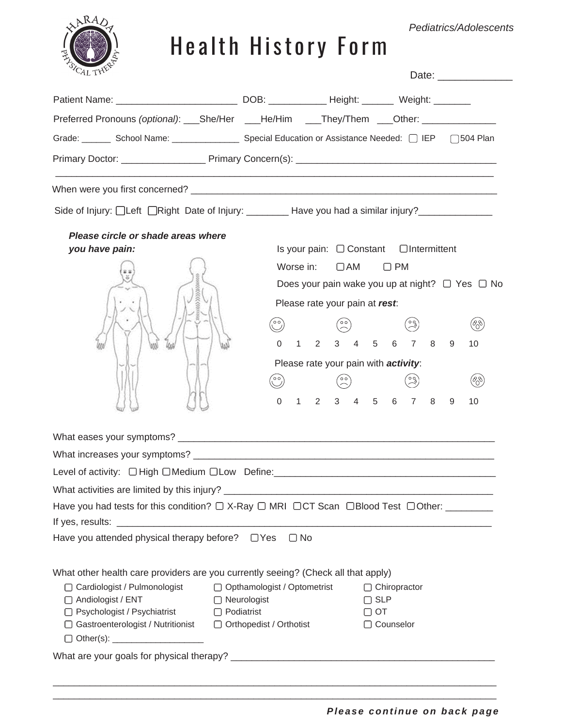#### *Pediatrics/Adolescents*



# Health History Form

| Patient Name: __________________________________DOB: _______________Height: _________ Weight: ___________<br>Preferred Pronouns (optional): ____She/Her ____He/Him ____They/Them ____Other: ____________________<br>Grade: School Name: Special Education or Assistance Needed: 0 IEP [504 Plan]<br>Side of Injury: □Left □Right Date of Injury: ___________ Have you had a similar injury?____________<br>Please circle or shade areas where<br>Is your pain: $\Box$ Constant $\Box$ Intermittent<br>you have pain:<br>Worse in: $\Box$ AM $\Box$ PM<br>Does your pain wake you up at night? $\Box$ Yes $\Box$ No<br>Please rate your pain at rest:<br>$\binom{c}{c}$<br>$\left( \begin{smallmatrix} \circ & \circ \\ \circ & \circ \end{smallmatrix} \right)$<br>1 2 3 4 5 6 7 8<br>$\Omega$<br>9<br>Please rate your pain with activity:<br>$\binom{00}{0}$<br>1 2 3 4 5 6 7 8<br>0<br>9<br>Level of activity: $\Box$ High $\Box$ Medium $\Box$ Low Define:<br>Have you attended physical therapy before? □ Yes<br>$\Box$ No |     |
|---------------------------------------------------------------------------------------------------------------------------------------------------------------------------------------------------------------------------------------------------------------------------------------------------------------------------------------------------------------------------------------------------------------------------------------------------------------------------------------------------------------------------------------------------------------------------------------------------------------------------------------------------------------------------------------------------------------------------------------------------------------------------------------------------------------------------------------------------------------------------------------------------------------------------------------------------------------------------------------------------------------------------------|-----|
|                                                                                                                                                                                                                                                                                                                                                                                                                                                                                                                                                                                                                                                                                                                                                                                                                                                                                                                                                                                                                                 |     |
|                                                                                                                                                                                                                                                                                                                                                                                                                                                                                                                                                                                                                                                                                                                                                                                                                                                                                                                                                                                                                                 |     |
|                                                                                                                                                                                                                                                                                                                                                                                                                                                                                                                                                                                                                                                                                                                                                                                                                                                                                                                                                                                                                                 |     |
|                                                                                                                                                                                                                                                                                                                                                                                                                                                                                                                                                                                                                                                                                                                                                                                                                                                                                                                                                                                                                                 |     |
|                                                                                                                                                                                                                                                                                                                                                                                                                                                                                                                                                                                                                                                                                                                                                                                                                                                                                                                                                                                                                                 |     |
|                                                                                                                                                                                                                                                                                                                                                                                                                                                                                                                                                                                                                                                                                                                                                                                                                                                                                                                                                                                                                                 |     |
|                                                                                                                                                                                                                                                                                                                                                                                                                                                                                                                                                                                                                                                                                                                                                                                                                                                                                                                                                                                                                                 |     |
|                                                                                                                                                                                                                                                                                                                                                                                                                                                                                                                                                                                                                                                                                                                                                                                                                                                                                                                                                                                                                                 |     |
|                                                                                                                                                                                                                                                                                                                                                                                                                                                                                                                                                                                                                                                                                                                                                                                                                                                                                                                                                                                                                                 |     |
|                                                                                                                                                                                                                                                                                                                                                                                                                                                                                                                                                                                                                                                                                                                                                                                                                                                                                                                                                                                                                                 |     |
|                                                                                                                                                                                                                                                                                                                                                                                                                                                                                                                                                                                                                                                                                                                                                                                                                                                                                                                                                                                                                                 |     |
|                                                                                                                                                                                                                                                                                                                                                                                                                                                                                                                                                                                                                                                                                                                                                                                                                                                                                                                                                                                                                                 | (%) |
|                                                                                                                                                                                                                                                                                                                                                                                                                                                                                                                                                                                                                                                                                                                                                                                                                                                                                                                                                                                                                                 | 10  |
|                                                                                                                                                                                                                                                                                                                                                                                                                                                                                                                                                                                                                                                                                                                                                                                                                                                                                                                                                                                                                                 |     |
|                                                                                                                                                                                                                                                                                                                                                                                                                                                                                                                                                                                                                                                                                                                                                                                                                                                                                                                                                                                                                                 | (%) |
|                                                                                                                                                                                                                                                                                                                                                                                                                                                                                                                                                                                                                                                                                                                                                                                                                                                                                                                                                                                                                                 | 10  |
|                                                                                                                                                                                                                                                                                                                                                                                                                                                                                                                                                                                                                                                                                                                                                                                                                                                                                                                                                                                                                                 |     |
|                                                                                                                                                                                                                                                                                                                                                                                                                                                                                                                                                                                                                                                                                                                                                                                                                                                                                                                                                                                                                                 |     |
|                                                                                                                                                                                                                                                                                                                                                                                                                                                                                                                                                                                                                                                                                                                                                                                                                                                                                                                                                                                                                                 |     |
|                                                                                                                                                                                                                                                                                                                                                                                                                                                                                                                                                                                                                                                                                                                                                                                                                                                                                                                                                                                                                                 |     |
|                                                                                                                                                                                                                                                                                                                                                                                                                                                                                                                                                                                                                                                                                                                                                                                                                                                                                                                                                                                                                                 |     |
|                                                                                                                                                                                                                                                                                                                                                                                                                                                                                                                                                                                                                                                                                                                                                                                                                                                                                                                                                                                                                                 |     |
|                                                                                                                                                                                                                                                                                                                                                                                                                                                                                                                                                                                                                                                                                                                                                                                                                                                                                                                                                                                                                                 |     |
|                                                                                                                                                                                                                                                                                                                                                                                                                                                                                                                                                                                                                                                                                                                                                                                                                                                                                                                                                                                                                                 |     |
| What other health care providers are you currently seeing? (Check all that apply)                                                                                                                                                                                                                                                                                                                                                                                                                                                                                                                                                                                                                                                                                                                                                                                                                                                                                                                                               |     |
| □ Cardiologist / Pulmonologist<br>□ Opthamologist / Optometrist<br>$\Box$ Chiropractor<br>□ Neurologist<br>□ Andiologist / ENT<br>$\Box$ SLP                                                                                                                                                                                                                                                                                                                                                                                                                                                                                                                                                                                                                                                                                                                                                                                                                                                                                    |     |
| □ Psychologist / Psychiatrist □ Podiatrist<br>$\Box$ OT                                                                                                                                                                                                                                                                                                                                                                                                                                                                                                                                                                                                                                                                                                                                                                                                                                                                                                                                                                         |     |
| □ Gastroenterologist / Nutritionist □ Orthopedist / Orthotist<br>□ Counselor                                                                                                                                                                                                                                                                                                                                                                                                                                                                                                                                                                                                                                                                                                                                                                                                                                                                                                                                                    |     |
|                                                                                                                                                                                                                                                                                                                                                                                                                                                                                                                                                                                                                                                                                                                                                                                                                                                                                                                                                                                                                                 |     |
|                                                                                                                                                                                                                                                                                                                                                                                                                                                                                                                                                                                                                                                                                                                                                                                                                                                                                                                                                                                                                                 |     |

 $\mathcal{L}_\mathcal{L} = \{ \mathcal{L}_\mathcal{L} = \{ \mathcal{L}_\mathcal{L} = \{ \mathcal{L}_\mathcal{L} = \{ \mathcal{L}_\mathcal{L} = \{ \mathcal{L}_\mathcal{L} = \{ \mathcal{L}_\mathcal{L} = \{ \mathcal{L}_\mathcal{L} = \{ \mathcal{L}_\mathcal{L} = \{ \mathcal{L}_\mathcal{L} = \{ \mathcal{L}_\mathcal{L} = \{ \mathcal{L}_\mathcal{L} = \{ \mathcal{L}_\mathcal{L} = \{ \mathcal{L}_\mathcal{L} = \{ \mathcal{L}_\mathcal{$